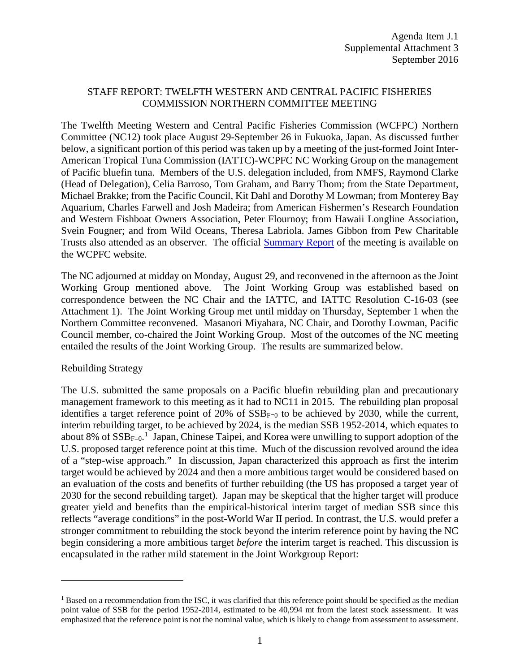# STAFF REPORT: TWELFTH WESTERN AND CENTRAL PACIFIC FISHERIES COMMISSION NORTHERN COMMITTEE MEETING

The Twelfth Meeting Western and Central Pacific Fisheries Commission (WCFPC) Northern Committee (NC12) took place August 29-September 26 in Fukuoka, Japan. As discussed further below, a significant portion of this period was taken up by a meeting of the just-formed Joint Inter-American Tropical Tuna Commission (IATTC)-WCPFC NC Working Group on the management of Pacific bluefin tuna. Members of the U.S. delegation included, from NMFS, Raymond Clarke (Head of Delegation), Celia Barroso, Tom Graham, and Barry Thom; from the State Department, Michael Brakke; from the Pacific Council, Kit Dahl and Dorothy M Lowman; from Monterey Bay Aquarium, Charles Farwell and Josh Madeira; from American Fishermen's Research Foundation and Western Fishboat Owners Association, Peter Flournoy; from Hawaii Longline Association, Svein Fougner; and from Wild Oceans, Theresa Labriola. James Gibbon from Pew Charitable Trusts also attended as an observer. The official [Summary Report](http://www.wcpfc.int/system/files/0_NC12%20Summary%20Report%20-%20adopted%20on%2002Sep2016.docx) of the meeting is available on the WCPFC website.

The NC adjourned at midday on Monday, August 29, and reconvened in the afternoon as the Joint Working Group mentioned above. The Joint Working Group was established based on correspondence between the NC Chair and the IATTC, and IATTC Resolution C-16-03 (see Attachment 1). The Joint Working Group met until midday on Thursday, September 1 when the Northern Committee reconvened. Masanori Miyahara, NC Chair, and Dorothy Lowman, Pacific Council member, co-chaired the Joint Working Group. Most of the outcomes of the NC meeting entailed the results of the Joint Working Group. The results are summarized below.

## Rebuilding Strategy

 $\overline{a}$ 

The U.S. submitted the same proposals on a Pacific bluefin rebuilding plan and precautionary management framework to this meeting as it had to NC11 in 2015. The rebuilding plan proposal identifies a target reference point of 20% of  $SSB_{F=0}$  to be achieved by 2030, while the current, interim rebuilding target, to be achieved by 2024, is the median SSB 1952-2014, which equates to about 8% of  $SSB_{F=0}$ .<sup>[1](#page-0-0)</sup> Japan, Chinese Taipei, and Korea were unwilling to support adoption of the U.S. proposed target reference point at this time. Much of the discussion revolved around the idea of a "step-wise approach." In discussion, Japan characterized this approach as first the interim target would be achieved by 2024 and then a more ambitious target would be considered based on an evaluation of the costs and benefits of further rebuilding (the US has proposed a target year of 2030 for the second rebuilding target). Japan may be skeptical that the higher target will produce greater yield and benefits than the empirical-historical interim target of median SSB since this reflects "average conditions" in the post-World War II period. In contrast, the U.S. would prefer a stronger commitment to rebuilding the stock beyond the interim reference point by having the NC begin considering a more ambitious target *before* the interim target is reached. This discussion is encapsulated in the rather mild statement in the Joint Workgroup Report:

<span id="page-0-0"></span><sup>&</sup>lt;sup>1</sup> Based on a recommendation from the ISC, it was clarified that this reference point should be specified as the median point value of SSB for the period 1952-2014, estimated to be 40,994 mt from the latest stock assessment. It was emphasized that the reference point is not the nominal value, which is likely to change from assessment to assessment.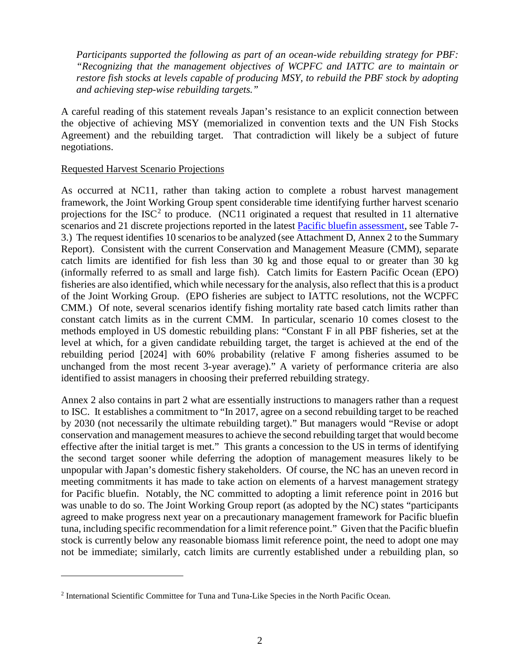*Participants supported the following as part of an ocean-wide rebuilding strategy for PBF: "Recognizing that the management objectives of WCPFC and IATTC are to maintain or restore fish stocks at levels capable of producing MSY, to rebuild the PBF stock by adopting and achieving step-wise rebuilding targets."*

A careful reading of this statement reveals Japan's resistance to an explicit connection between the objective of achieving MSY (memorialized in convention texts and the UN Fish Stocks Agreement) and the rebuilding target. That contradiction will likely be a subject of future negotiations.

### Requested Harvest Scenario Projections

 $\overline{a}$ 

As occurred at NC11, rather than taking action to complete a robust harvest management framework, the Joint Working Group spent considerable time identifying further harvest scenario projections for the  $ISC^2$  $ISC^2$  to produce. (NC11 originated a request that resulted in 11 alternative scenarios and 21 discrete projections reported in the latest [Pacific bluefin assessment,](http://www.wcpfc.int/system/files/WCPFC-NC12-IP-03%20Australia%20PBF%20Report%20-%2030May2016.pdf) see Table 7-3.) The request identifies 10 scenarios to be analyzed (see Attachment D, Annex 2 to the Summary Report). Consistent with the current Conservation and Management Measure (CMM), separate catch limits are identified for fish less than 30 kg and those equal to or greater than 30 kg (informally referred to as small and large fish). Catch limits for Eastern Pacific Ocean (EPO) fisheries are also identified, which while necessary for the analysis, also reflect that this is a product of the Joint Working Group. (EPO fisheries are subject to IATTC resolutions, not the WCPFC CMM.) Of note, several scenarios identify fishing mortality rate based catch limits rather than constant catch limits as in the current CMM. In particular, scenario 10 comes closest to the methods employed in US domestic rebuilding plans: "Constant F in all PBF fisheries, set at the level at which, for a given candidate rebuilding target, the target is achieved at the end of the rebuilding period [2024] with 60% probability (relative F among fisheries assumed to be unchanged from the most recent 3-year average)." A variety of performance criteria are also identified to assist managers in choosing their preferred rebuilding strategy.

Annex 2 also contains in part 2 what are essentially instructions to managers rather than a request to ISC. It establishes a commitment to "In 2017, agree on a second rebuilding target to be reached by 2030 (not necessarily the ultimate rebuilding target)." But managers would "Revise or adopt conservation and management measures to achieve the second rebuilding target that would become effective after the initial target is met." This grants a concession to the US in terms of identifying the second target sooner while deferring the adoption of management measures likely to be unpopular with Japan's domestic fishery stakeholders. Of course, the NC has an uneven record in meeting commitments it has made to take action on elements of a harvest management strategy for Pacific bluefin. Notably, the NC committed to adopting a limit reference point in 2016 but was unable to do so. The Joint Working Group report (as adopted by the NC) states "participants agreed to make progress next year on a precautionary management framework for Pacific bluefin tuna, including specific recommendation for a limit reference point." Given that the Pacific bluefin stock is currently below any reasonable biomass limit reference point, the need to adopt one may not be immediate; similarly, catch limits are currently established under a rebuilding plan, so

<span id="page-1-0"></span><sup>2</sup> International Scientific Committee for Tuna and Tuna-Like Species in the North Pacific Ocean.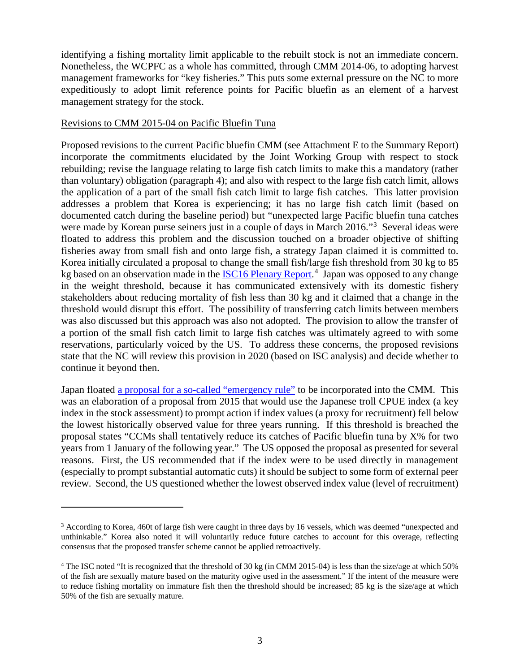identifying a fishing mortality limit applicable to the rebuilt stock is not an immediate concern. Nonetheless, the WCPFC as a whole has committed, through CMM 2014-06, to adopting harvest management frameworks for "key fisheries." This puts some external pressure on the NC to more expeditiously to adopt limit reference points for Pacific bluefin as an element of a harvest management strategy for the stock.

#### Revisions to CMM 2015-04 on Pacific Bluefin Tuna

 $\overline{a}$ 

Proposed revisions to the current Pacific bluefin CMM (see Attachment E to the Summary Report) incorporate the commitments elucidated by the Joint Working Group with respect to stock rebuilding; revise the language relating to large fish catch limits to make this a mandatory (rather than voluntary) obligation (paragraph 4); and also with respect to the large fish catch limit, allows the application of a part of the small fish catch limit to large fish catches. This latter provision addresses a problem that Korea is experiencing; it has no large fish catch limit (based on documented catch during the baseline period) but "unexpected large Pacific bluefin tuna catches were made by Korean purse seiners just in a couple of days in March 2016."<sup>[3](#page-2-0)</sup> Several ideas were floated to address this problem and the discussion touched on a broader objective of shifting fisheries away from small fish and onto large fish, a strategy Japan claimed it is committed to. Korea initially circulated a proposal to change the small fish/large fish threshold from 30 kg to 85 kg based on an observation made in the **ISC16 Plenary Report**.<sup>[4](#page-2-1)</sup> Japan was opposed to any change in the weight threshold, because it has communicated extensively with its domestic fishery stakeholders about reducing mortality of fish less than 30 kg and it claimed that a change in the threshold would disrupt this effort. The possibility of transferring catch limits between members was also discussed but this approach was also not adopted. The provision to allow the transfer of a portion of the small fish catch limit to large fish catches was ultimately agreed to with some reservations, particularly voiced by the US. To address these concerns, the proposed revisions state that the NC will review this provision in 2020 (based on ISC analysis) and decide whether to continue it beyond then.

Japan floated [a proposal for a so-called "emergency rule"](http://www.wcpfc.int/system/files/NC12-DP-11%20%5BJapan%20-%20Emergency%20Rule%20for%20PBF%5D.pdf) to be incorporated into the CMM. This was an elaboration of a proposal from 2015 that would use the Japanese troll CPUE index (a key index in the stock assessment) to prompt action if index values (a proxy for recruitment) fell below the lowest historically observed value for three years running. If this threshold is breached the proposal states "CCMs shall tentatively reduce its catches of Pacific bluefin tuna by X% for two years from 1 January of the following year." The US opposed the proposal as presented for several reasons. First, the US recommended that if the index were to be used directly in management (especially to prompt substantial automatic cuts) it should be subject to some form of external peer review. Second, the US questioned whether the lowest observed index value (level of recruitment)

<span id="page-2-0"></span><sup>&</sup>lt;sup>3</sup> According to Korea, 460t of large fish were caught in three days by 16 vessels, which was deemed "unexpected and unthinkable." Korea also noted it will voluntarily reduce future catches to account for this overage, reflecting consensus that the proposed transfer scheme cannot be applied retroactively.

<span id="page-2-1"></span><sup>&</sup>lt;sup>4</sup> The ISC noted "It is recognized that the threshold of 30 kg (in CMM 2015-04) is less than the size/age at which 50% of the fish are sexually mature based on the maturity ogive used in the assessment." If the intent of the measure were to reduce fishing mortality on immature fish then the threshold should be increased; 85 kg is the size/age at which 50% of the fish are sexually mature.